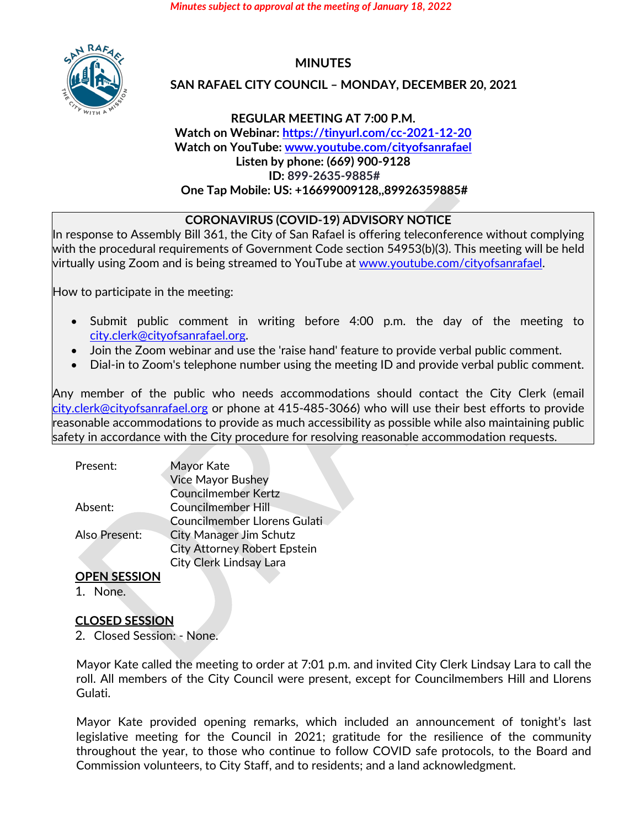*Minutes subject to approval at the meeting of January 18, 2022*



# **MINUTES**

### **SAN RAFAEL CITY COUNCIL – MONDAY, DECEMBER 20, 2021**

### **REGULAR MEETING AT 7:00 P.M. Watch on Webinar: <https://tinyurl.com/cc-2021-12-20> Watch on YouTube: [www.youtube.com/cityofsanrafael](http://www.youtube.com/cityofsanrafael) Listen by phone: (669) 900-9128 ID: 899-2635-9885# One Tap Mobile: US: +16699009128,,89926359885#**

### **CORONAVIRUS (COVID-19) ADVISORY NOTICE**

In response to Assembly Bill 361, the City of San Rafael is offering teleconference without complying with the procedural requirements of Government Code section 54953(b)(3). This meeting will be held virtually using Zoom and is being streamed to YouTube at [www.youtube.com/cityofsanrafael.](http://www.youtube.com/cityofsanrafael)

How to participate in the meeting:

- Submit public comment in writing before 4:00 p.m. the day of the meeting to [city.clerk@cityofsanrafael.org.](mailto:city.clerk@cityofsanrafael.org)
- Join the Zoom webinar and use the 'raise hand' feature to provide verbal public comment.
- Dial-in to Zoom's telephone number using the meeting ID and provide verbal public comment.

Any member of the public who needs accommodations should contact the City Clerk (email [city.clerk@cityofsanrafael.org](mailto:city.clerk@cityofsanrafael.org) or phone at 415-485-3066) who will use their best efforts to provide reasonable accommodations to provide as much accessibility as possible while also maintaining public safety in accordance with the City procedure for resolving reasonable accommodation requests.

| Present:      | Mayor Kate                          |  |
|---------------|-------------------------------------|--|
|               | <b>Vice Mayor Bushey</b>            |  |
|               | <b>Councilmember Kertz</b>          |  |
| Absent:       | <b>Councilmember Hill</b>           |  |
|               | <b>Councilmember Llorens Gulati</b> |  |
| Also Present: | <b>City Manager Jim Schutz</b>      |  |
|               | <b>City Attorney Robert Epstein</b> |  |
|               | <b>City Clerk Lindsay Lara</b>      |  |

## **OPEN SESSION**

1. None.

## **CLOSED SESSION**

2. Closed Session: - None.

Mayor Kate called the meeting to order at 7:01 p.m. and invited City Clerk Lindsay Lara to call the roll. All members of the City Council were present, except for Councilmembers Hill and Llorens Gulati.

Mayor Kate provided opening remarks, which included an announcement of tonight's last legislative meeting for the Council in 2021; gratitude for the resilience of the community throughout the year, to those who continue to follow COVID safe protocols, to the Board and Commission volunteers, to City Staff, and to residents; and a land acknowledgment.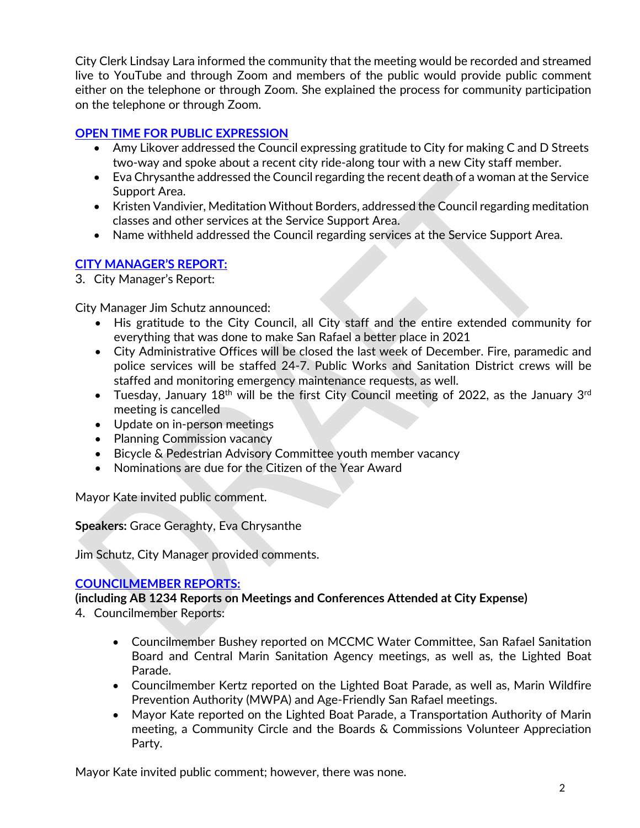City Clerk Lindsay Lara informed the community that the meeting would be recorded and streamed live to YouTube and through Zoom and members of the public would provide public comment either on the telephone or through Zoom. She explained the process for community participation on the telephone or through Zoom.

## **[OPEN TIME FOR PUBLIC EXPRESSION](https://youtu.be/mnVu-BT6EQU?t=802)**

- Amy Likover addressed the Council expressing gratitude to City for making C and D Streets two-way and spoke about a recent city ride-along tour with a new City staff member.
- Eva Chrysanthe addressed the Council regarding the recent death of a woman at the Service Support Area.
- Kristen Vandivier, Meditation Without Borders, addressed the Council regarding meditation classes and other services at the Service Support Area.
- Name withheld addressed the Council regarding services at the Service Support Area.

## **[CITY MANAGER'S REPORT:](https://youtu.be/mnVu-BT6EQU?t=1327)**

3. City Manager's Report:

City Manager Jim Schutz announced:

- His gratitude to the City Council, all City staff and the entire extended community for everything that was done to make San Rafael a better place in 2021
- City Administrative Offices will be closed the last week of December. Fire, paramedic and police services will be staffed 24-7. Public Works and Sanitation District crews will be staffed and monitoring emergency maintenance requests, as well.
- Tuesday, January 18<sup>th</sup> will be the first City Council meeting of 2022, as the January 3<sup>rd</sup> meeting is cancelled
- Update on in-person meetings
- Planning Commission vacancy
- Bicycle & Pedestrian Advisory Committee youth member vacancy
- Nominations are due for the Citizen of the Year Award

Mayor Kate invited public comment.

**Speakers:** Grace Geraghty, Eva Chrysanthe

Jim Schutz, City Manager provided comments.

## **[COUNCILMEMBER REPORTS:](https://youtu.be/mnVu-BT6EQU?t=1886)**

**(including AB 1234 Reports on Meetings and Conferences Attended at City Expense)**

- 4. Councilmember Reports:
	- Councilmember Bushey reported on MCCMC Water Committee, San Rafael Sanitation Board and Central Marin Sanitation Agency meetings, as well as, the Lighted Boat Parade.
	- Councilmember Kertz reported on the Lighted Boat Parade, as well as, Marin Wildfire Prevention Authority (MWPA) and Age-Friendly San Rafael meetings.
	- Mayor Kate reported on the Lighted Boat Parade, a Transportation Authority of Marin meeting, a Community Circle and the Boards & Commissions Volunteer Appreciation Party.

Mayor Kate invited public comment; however, there was none.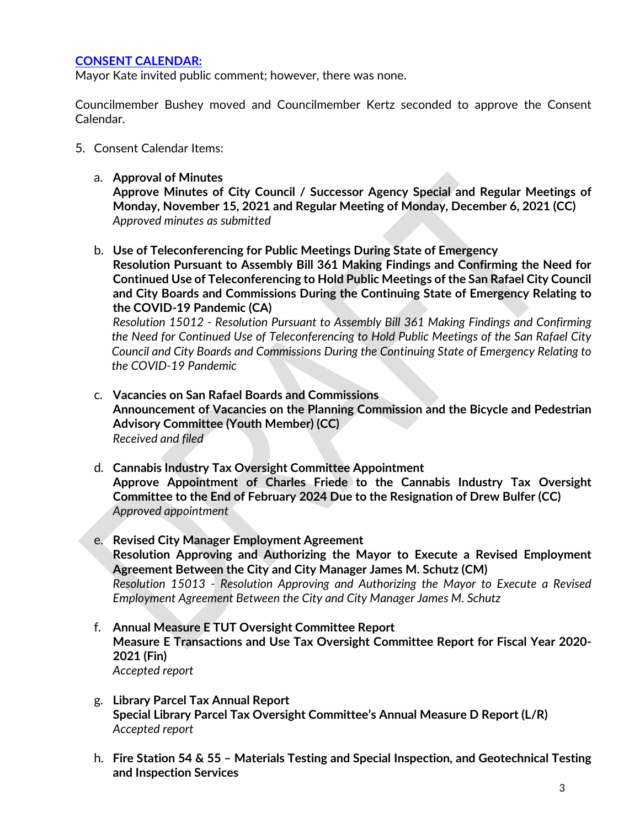### **[CONSENT CALENDAR:](https://youtu.be/mnVu-BT6EQU?t=2291)**

Mayor Kate invited public comment; however, there was none.

Councilmember Bushey moved and Councilmember Kertz seconded to approve the Consent Calendar.

- 5. Consent Calendar Items:
	- a. **Approval of Minutes**

**Approve Minutes of City Council / Successor Agency Special and Regular Meetings of Monday, November 15, 2021 and Regular Meeting of Monday, December 6, 2021 (CC)** *Approved minutes as submitted*

b. **Use of Teleconferencing for Public Meetings During State of Emergency**

**Resolution Pursuant to Assembly Bill 361 Making Findings and Confirming the Need for Continued Use of Teleconferencing to Hold Public Meetings of the San Rafael City Council and City Boards and Commissions During the Continuing State of Emergency Relating to the COVID-19 Pandemic (CA)**

*Resolution 15012 - Resolution Pursuant to Assembly Bill 361 Making Findings and Confirming the Need for Continued Use of Teleconferencing to Hold Public Meetings of the San Rafael City Council and City Boards and Commissions During the Continuing State of Emergency Relating to the COVID-19 Pandemic*

- c. **Vacancies on San Rafael Boards and Commissions Announcement of Vacancies on the Planning Commission and the Bicycle and Pedestrian Advisory Committee (Youth Member) (CC)**  *Received and filed*
- d. **Cannabis Industry Tax Oversight Committee Appointment Approve Appointment of Charles Friede to the Cannabis Industry Tax Oversight Committee to the End of February 2024 Due to the Resignation of Drew Bulfer (CC)**  *Approved appointment*
- e. **Revised City Manager Employment Agreement Resolution Approving and Authorizing the Mayor to Execute a Revised Employment Agreement Between the City and City Manager James M. Schutz (CM)**  *Resolution 15013 - Resolution Approving and Authorizing the Mayor to Execute a Revised Employment Agreement Between the City and City Manager James M. Schutz*
- f. **Annual Measure E TUT Oversight Committee Report Measure E Transactions and Use Tax Oversight Committee Report for Fiscal Year 2020- 2021 (Fin)**  *Accepted report*
- g. **Library Parcel Tax Annual Report Special Library Parcel Tax Oversight Committee's Annual Measure D Report (L/R)**  *Accepted report*
- h. **Fire Station 54 & 55 – Materials Testing and Special Inspection, and Geotechnical Testing and Inspection Services**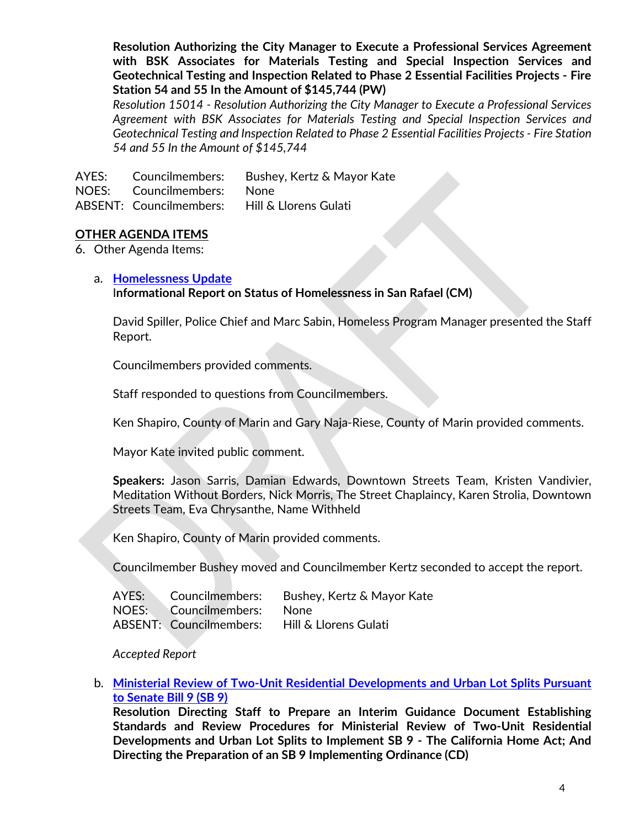**Resolution Authorizing the City Manager to Execute a Professional Services Agreement with BSK Associates for Materials Testing and Special Inspection Services and Geotechnical Testing and Inspection Related to Phase 2 Essential Facilities Projects - Fire Station 54 and 55 In the Amount of \$145,744 (PW)** 

*Resolution 15014 - Resolution Authorizing the City Manager to Execute a Professional Services Agreement with BSK Associates for Materials Testing and Special Inspection Services and Geotechnical Testing and Inspection Related to Phase 2 Essential Facilities Projects - Fire Station 54 and 55 In the Amount of \$145,744*

AYES: Councilmembers: Bushey, Kertz & Mayor Kate NOES: Councilmembers: None ABSENT: Councilmembers: Hill & Llorens Gulati

### **OTHER AGENDA ITEMS**

6. Other Agenda Items:

#### a. **[Homelessness](https://youtu.be/mnVu-BT6EQU?t=2348) Update**

I**nformational Report on Status of Homelessness in San Rafael (CM)**

David Spiller, Police Chief and Marc Sabin, Homeless Program Manager presented the Staff Report.

Councilmembers provided comments.

Staff responded to questions from Councilmembers.

Ken Shapiro, County of Marin and Gary Naja-Riese, County of Marin provided comments.

Mayor Kate invited public comment.

**Speakers:** Jason Sarris, Damian Edwards, Downtown Streets Team, Kristen Vandivier, Meditation Without Borders, Nick Morris, The Street Chaplaincy, Karen Strolia, Downtown Streets Team, Eva Chrysanthe, Name Withheld

Ken Shapiro, County of Marin provided comments.

Councilmember Bushey moved and Councilmember Kertz seconded to accept the report.

|                            | AYES: Councilmembers: Bushey, Kertz & Mayor Kate |
|----------------------------|--------------------------------------------------|
| NOES: Councilmembers: None |                                                  |
|                            | ABSENT: Councilmembers: Hill & Llorens Gulati    |

*Accepted Report*

#### b. **[Ministerial Review of Two-Unit Residential Developments and Urban Lot Splits Pursuant](https://youtu.be/mnVu-BT6EQU?t=6450)  [to Senate Bill 9 \(SB](https://youtu.be/mnVu-BT6EQU?t=6450) 9)**

**Resolution Directing Staff to Prepare an Interim Guidance Document Establishing Standards and Review Procedures for Ministerial Review of Two-Unit Residential Developments and Urban Lot Splits to Implement SB 9 - The California Home Act; And Directing the Preparation of an SB 9 Implementing Ordinance (CD)**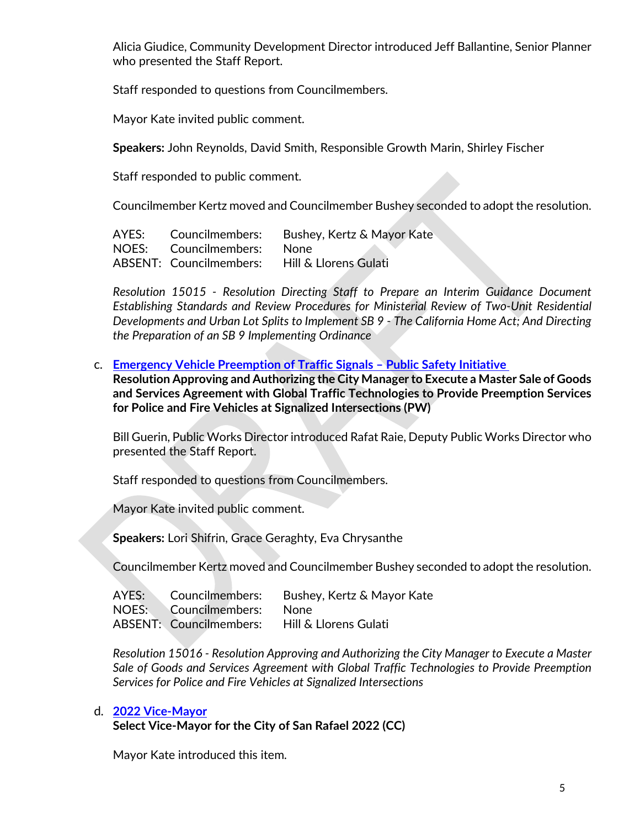Alicia Giudice, Community Development Director introduced Jeff Ballantine, Senior Planner who presented the Staff Report.

Staff responded to questions from Councilmembers.

Mayor Kate invited public comment.

**Speakers:** John Reynolds, David Smith, Responsible Growth Marin, Shirley Fischer

Staff responded to public comment.

Councilmember Kertz moved and Councilmember Bushey seconded to adopt the resolution.

| AYES: Councilmembers: | Bushey, Kertz & Mayor Kate                    |
|-----------------------|-----------------------------------------------|
| NOES: Councilmembers: | None                                          |
|                       | ABSENT: Councilmembers: Hill & Llorens Gulati |

*Resolution 15015 - Resolution Directing Staff to Prepare an Interim Guidance Document Establishing Standards and Review Procedures for Ministerial Review of Two-Unit Residential Developments and Urban Lot Splits to Implement SB 9 - The California Home Act; And Directing the Preparation of an SB 9 Implementing Ordinance*

c. **[Emergency Vehicle Preemption of Traffic Signals –](https://youtu.be/mnVu-BT6EQU?t=7859) Public Safety Initiative** 

**Resolution Approving and Authorizing the City Manager to Execute a Master Sale of Goods and Services Agreement with Global Traffic Technologies to Provide Preemption Services for Police and Fire Vehicles at Signalized Intersections (PW)** 

Bill Guerin, Public Works Director introduced Rafat Raie, Deputy Public Works Director who presented the Staff Report.

Staff responded to questions from Councilmembers.

Mayor Kate invited public comment.

**Speakers:** Lori Shifrin, Grace Geraghty, Eva Chrysanthe

Councilmember Kertz moved and Councilmember Bushey seconded to adopt the resolution.

|                            | AYES: Councilmembers: Bushey, Kertz & Mayor Kate |
|----------------------------|--------------------------------------------------|
| NOES: Councilmembers: None |                                                  |
|                            | ABSENT: Councilmembers: Hill & Llorens Gulati    |

*Resolution 15016 - Resolution Approving and Authorizing the City Manager to Execute a Master Sale of Goods and Services Agreement with Global Traffic Technologies to Provide Preemption Services for Police and Fire Vehicles at Signalized Intersections*

#### d. **[2022 Vice-Mayor](https://youtu.be/mnVu-BT6EQU?t=9179)**

**Select Vice-Mayor for the City of San Rafael 2022 (CC)**

Mayor Kate introduced this item.